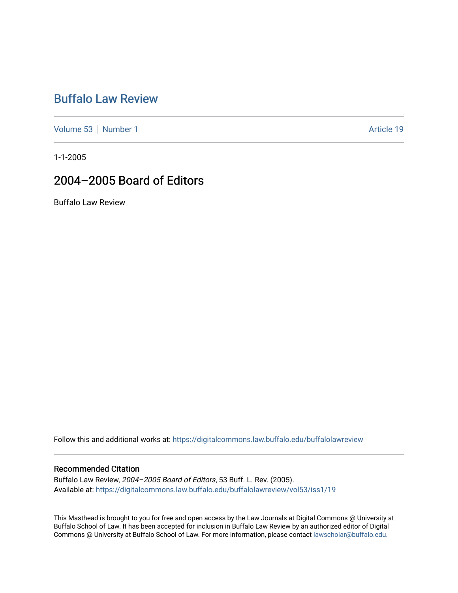## [Buffalo Law Review](https://digitalcommons.law.buffalo.edu/buffalolawreview)

[Volume 53](https://digitalcommons.law.buffalo.edu/buffalolawreview/vol53) [Number 1](https://digitalcommons.law.buffalo.edu/buffalolawreview/vol53/iss1) Article 19

1-1-2005

## 2004–2005 Board of Editors

Buffalo Law Review

Follow this and additional works at: [https://digitalcommons.law.buffalo.edu/buffalolawreview](https://digitalcommons.law.buffalo.edu/buffalolawreview?utm_source=digitalcommons.law.buffalo.edu%2Fbuffalolawreview%2Fvol53%2Fiss1%2F19&utm_medium=PDF&utm_campaign=PDFCoverPages) 

#### Recommended Citation

Buffalo Law Review, 2004–2005 Board of Editors, 53 Buff. L. Rev. (2005). Available at: [https://digitalcommons.law.buffalo.edu/buffalolawreview/vol53/iss1/19](https://digitalcommons.law.buffalo.edu/buffalolawreview/vol53/iss1/19?utm_source=digitalcommons.law.buffalo.edu%2Fbuffalolawreview%2Fvol53%2Fiss1%2F19&utm_medium=PDF&utm_campaign=PDFCoverPages)

This Masthead is brought to you for free and open access by the Law Journals at Digital Commons @ University at Buffalo School of Law. It has been accepted for inclusion in Buffalo Law Review by an authorized editor of Digital Commons @ University at Buffalo School of Law. For more information, please contact [lawscholar@buffalo.edu](mailto:lawscholar@buffalo.edu).